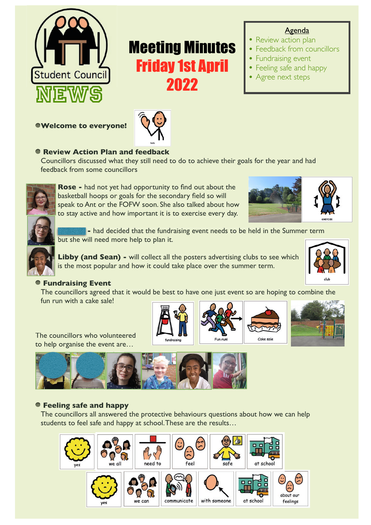

# Friday 1st April

**Welcome to everyone!** 



# **Review Action Plan and feedback**

Councillors discussed what they still need to do to achieve their goals for the year and had feedback from some councillors



**Rose -** had not yet had opportunity to find out about the basketball hoops or goals for the secondary field so will speak to Ant or the FOFW soon. She also talked about how to stay active and how important it is to exercise every day. to stay active and how important it is to exercise every day.Meeting Minutes



**Agenda** 

• Feedback from councillors

• Review action plan

• Fundraising event • Feeling safe and happy

• Agree next steps

**Crystal - had decided that the fundraising event needs to be held in the Summer term** but she will need more help to plan it.

**Libby (and Sean) -** will collect all the posters advertising clubs to see which is the most popular and how it could take place over the summer term.



#### **Fundraising Event**

The councillors agreed that it would be best to have one just event so are hoping to combine the fun run with a cake sale!

The councillors who volunteered to help organise the event are…







#### **Feeling safe and happy**

The councillors all answered the protective behaviours questions about how we can help students to feel safe and happy at school. These are the results…